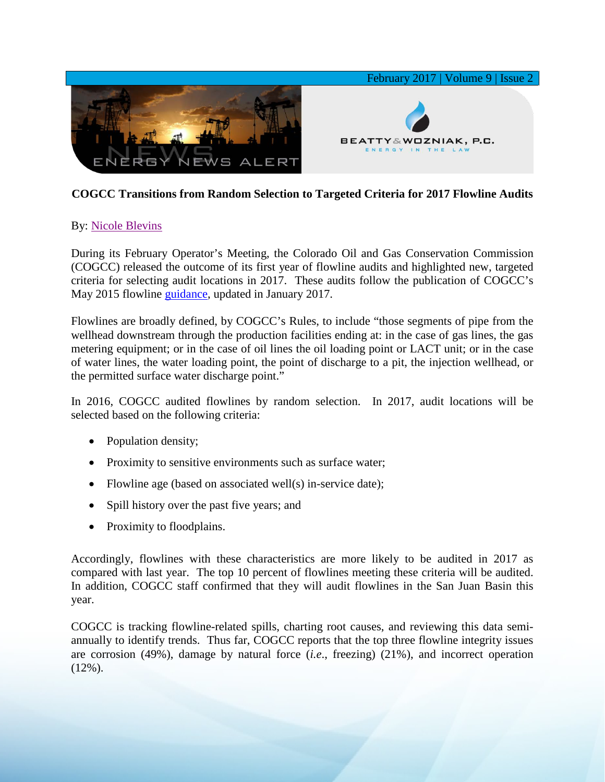

## **COGCC Transitions from Random Selection to Targeted Criteria for 2017 Flowline Audits**

## By: [Nicole Blevins](http://www.bwenergylaw.com/nicole-blevins)

During its February Operator's Meeting, the Colorado Oil and Gas Conservation Commission (COGCC) released the outcome of its first year of flowline audits and highlighted new, targeted criteria for selecting audit locations in 2017. These audits follow the publication of COGCC's May 2015 flowline [guidance,](http://cogcc.state.co.us/documents/reg/OpGuidance/Rule%201101%20and%201102%20and%201103%20Flowline%20Guidance%2012_20_2016.pdf) updated in January 2017.

Flowlines are broadly defined, by COGCC's Rules, to include "those segments of pipe from the wellhead downstream through the production facilities ending at: in the case of gas lines, the gas metering equipment; or in the case of oil lines the oil loading point or LACT unit; or in the case of water lines, the water loading point, the point of discharge to a pit, the injection wellhead, or the permitted surface water discharge point."

In 2016, COGCC audited flowlines by random selection. In 2017, audit locations will be selected based on the following criteria:

- Population density;
- Proximity to sensitive environments such as surface water;
- Flowline age (based on associated well(s) in-service date);
- Spill history over the past five years; and
- Proximity to floodplains.

Accordingly, flowlines with these characteristics are more likely to be audited in 2017 as compared with last year. The top 10 percent of flowlines meeting these criteria will be audited. In addition, COGCC staff confirmed that they will audit flowlines in the San Juan Basin this year.

COGCC is tracking flowline-related spills, charting root causes, and reviewing this data semiannually to identify trends. Thus far, COGCC reports that the top three flowline integrity issues are corrosion (49%), damage by natural force (*i.e*., freezing) (21%), and incorrect operation  $(12\%)$ .